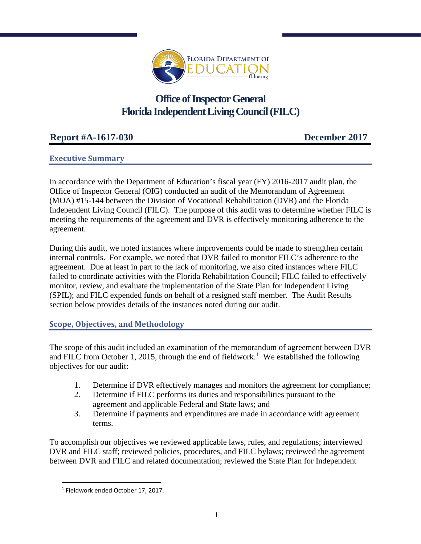

# **Office of Inspector General Florida Independent Living Council (FILC)**

# **Report #A-1617-030 December 2017**

# **Executive Summary**

In accordance with the Department of Education's fiscal year (FY) 2016-2017 audit plan, the Office of Inspector General (OIG) conducted an audit of the Memorandum of Agreement (MOA) #15-144 between the Division of Vocational Rehabilitation (DVR) and the Florida Independent Living Council (FILC). The purpose of this audit was to determine whether FILC is meeting the requirements of the agreement and DVR is effectively monitoring adherence to the agreement.

During this audit, we noted instances where improvements could be made to strengthen certain internal controls. For example, we noted that DVR failed to monitor FILC's adherence to the agreement. Due at least in part to the lack of monitoring, we also cited instances where FILC failed to coordinate activities with the Florida Rehabilitation Council; FILC failed to effectively monitor, review, and evaluate the implementation of the State Plan for Independent Living (SPIL); and FILC expended funds on behalf of a resigned staff member. The Audit Results section below provides details of the instances noted during our audit.

### **Scope, Objectives, and Methodology**

The scope of this audit included an examination of the memorandum of agreement between DVR and FILC from October [1](#page-0-0), 2015, through the end of fieldwork.<sup>1</sup> We established the following objectives for our audit:

- 1. Determine if DVR effectively manages and monitors the agreement for compliance;
- 2. Determine if FILC performs its duties and responsibilities pursuant to the agreement and applicable Federal and State laws; and
- 3. Determine if payments and expenditures are made in accordance with agreement terms.

To accomplish our objectives we reviewed applicable laws, rules, and regulations; interviewed DVR and FILC staff; reviewed policies, procedures, and FILC bylaws; reviewed the agreement between DVR and FILC and related documentation; reviewed the State Plan for Independent

l

<span id="page-0-0"></span> $1$  Fieldwork ended October 17, 2017.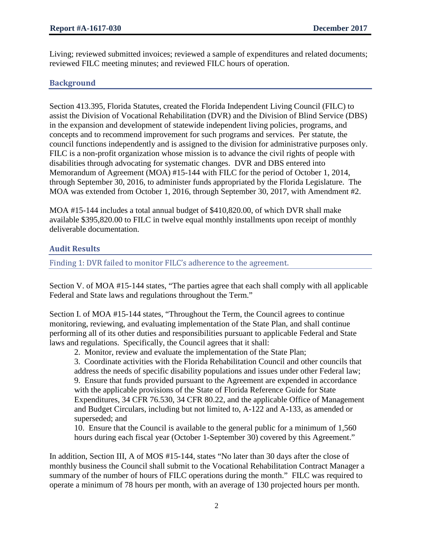Living; reviewed submitted invoices; reviewed a sample of expenditures and related documents; reviewed FILC meeting minutes; and reviewed FILC hours of operation.

## **Background**

Section 413.395, Florida Statutes, created the Florida Independent Living Council (FILC) to assist the Division of Vocational Rehabilitation (DVR) and the Division of Blind Service (DBS) in the expansion and development of statewide independent living policies, programs, and concepts and to recommend improvement for such programs and services. Per statute, the council functions independently and is assigned to the division for administrative purposes only. FILC is a non-profit organization whose mission is to advance the civil rights of people with disabilities through advocating for systematic changes. DVR and DBS entered into Memorandum of Agreement (MOA) #15-144 with FILC for the period of October 1, 2014, through September 30, 2016, to administer funds appropriated by the Florida Legislature. The MOA was extended from October 1, 2016, through September 30, 2017, with Amendment #2.

MOA #15-144 includes a total annual budget of \$410,820.00, of which DVR shall make available \$395,820.00 to FILC in twelve equal monthly installments upon receipt of monthly deliverable documentation.

### **Audit Results**

Finding 1: DVR failed to monitor FILC's adherence to the agreement.

Section V. of MOA #15-144 states, "The parties agree that each shall comply with all applicable Federal and State laws and regulations throughout the Term."

Section I. of MOA #15-144 states, "Throughout the Term, the Council agrees to continue monitoring, reviewing, and evaluating implementation of the State Plan, and shall continue performing all of its other duties and responsibilities pursuant to applicable Federal and State laws and regulations. Specifically, the Council agrees that it shall:

2. Monitor, review and evaluate the implementation of the State Plan;

3. Coordinate activities with the Florida Rehabilitation Council and other councils that address the needs of specific disability populations and issues under other Federal law; 9. Ensure that funds provided pursuant to the Agreement are expended in accordance with the applicable provisions of the State of Florida Reference Guide for State Expenditures, 34 CFR 76.530, 34 CFR 80.22, and the applicable Office of Management and Budget Circulars, including but not limited to, A-122 and A-133, as amended or superseded; and

10. Ensure that the Council is available to the general public for a minimum of 1,560 hours during each fiscal year (October 1-September 30) covered by this Agreement."

In addition, Section III, A of MOS #15-144, states "No later than 30 days after the close of monthly business the Council shall submit to the Vocational Rehabilitation Contract Manager a summary of the number of hours of FILC operations during the month." FILC was required to operate a minimum of 78 hours per month, with an average of 130 projected hours per month.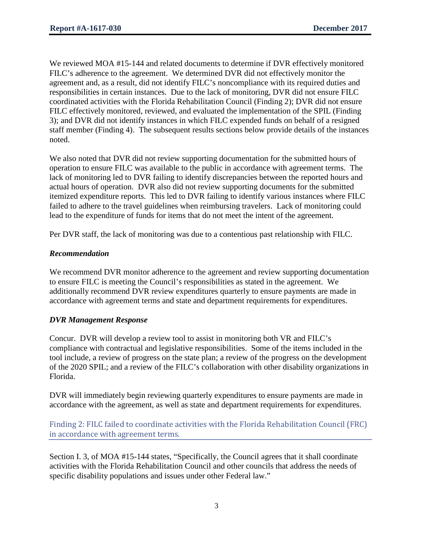We reviewed MOA #15-144 and related documents to determine if DVR effectively monitored FILC's adherence to the agreement. We determined DVR did not effectively monitor the agreement and, as a result, did not identify FILC's noncompliance with its required duties and responsibilities in certain instances. Due to the lack of monitoring, DVR did not ensure FILC coordinated activities with the Florida Rehabilitation Council (Finding 2); DVR did not ensure FILC effectively monitored, reviewed, and evaluated the implementation of the SPIL (Finding 3); and DVR did not identify instances in which FILC expended funds on behalf of a resigned staff member (Finding 4). The subsequent results sections below provide details of the instances noted.

We also noted that DVR did not review supporting documentation for the submitted hours of operation to ensure FILC was available to the public in accordance with agreement terms. The lack of monitoring led to DVR failing to identify discrepancies between the reported hours and actual hours of operation. DVR also did not review supporting documents for the submitted itemized expenditure reports. This led to DVR failing to identify various instances where FILC failed to adhere to the travel guidelines when reimbursing travelers. Lack of monitoring could lead to the expenditure of funds for items that do not meet the intent of the agreement.

Per DVR staff, the lack of monitoring was due to a contentious past relationship with FILC.

### *Recommendation*

We recommend DVR monitor adherence to the agreement and review supporting documentation to ensure FILC is meeting the Council's responsibilities as stated in the agreement. We additionally recommend DVR review expenditures quarterly to ensure payments are made in accordance with agreement terms and state and department requirements for expenditures.

### *DVR Management Response*

Concur. DVR will develop a review tool to assist in monitoring both VR and FILC's compliance with contractual and legislative responsibilities. Some of the items included in the tool include, a review of progress on the state plan; a review of the progress on the development of the 2020 SPIL; and a review of the FILC's collaboration with other disability organizations in Florida.

DVR will immediately begin reviewing quarterly expenditures to ensure payments are made in accordance with the agreement, as well as state and department requirements for expenditures.

Finding 2: FILC failed to coordinate activities with the Florida Rehabilitation Council (FRC) in accordance with agreement terms.

Section I. 3, of MOA #15-144 states, "Specifically, the Council agrees that it shall coordinate activities with the Florida Rehabilitation Council and other councils that address the needs of specific disability populations and issues under other Federal law."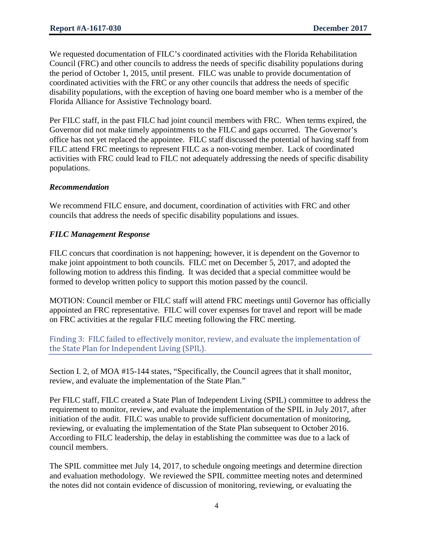We requested documentation of FILC's coordinated activities with the Florida Rehabilitation Council (FRC) and other councils to address the needs of specific disability populations during the period of October 1, 2015, until present. FILC was unable to provide documentation of coordinated activities with the FRC or any other councils that address the needs of specific disability populations, with the exception of having one board member who is a member of the Florida Alliance for Assistive Technology board.

Per FILC staff, in the past FILC had joint council members with FRC. When terms expired, the Governor did not make timely appointments to the FILC and gaps occurred. The Governor's office has not yet replaced the appointee. FILC staff discussed the potential of having staff from FILC attend FRC meetings to represent FILC as a non-voting member. Lack of coordinated activities with FRC could lead to FILC not adequately addressing the needs of specific disability populations.

### *Recommendation*

We recommend FILC ensure, and document, coordination of activities with FRC and other councils that address the needs of specific disability populations and issues.

### *FILC Management Response*

FILC concurs that coordination is not happening; however, it is dependent on the Governor to make joint appointment to both councils. FILC met on December 5, 2017, and adopted the following motion to address this finding. It was decided that a special committee would be formed to develop written policy to support this motion passed by the council.

MOTION: Council member or FILC staff will attend FRC meetings until Governor has officially appointed an FRC representative. FILC will cover expenses for travel and report will be made on FRC activities at the regular FILC meeting following the FRC meeting.

Finding 3: FILC failed to effectively monitor, review, and evaluate the implementation of the State Plan for Independent Living (SPIL).

Section I. 2, of MOA #15-144 states, "Specifically, the Council agrees that it shall monitor, review, and evaluate the implementation of the State Plan."

Per FILC staff, FILC created a State Plan of Independent Living (SPIL) committee to address the requirement to monitor, review, and evaluate the implementation of the SPIL in July 2017, after initiation of the audit. FILC was unable to provide sufficient documentation of monitoring, reviewing, or evaluating the implementation of the State Plan subsequent to October 2016. According to FILC leadership, the delay in establishing the committee was due to a lack of council members.

The SPIL committee met July 14, 2017, to schedule ongoing meetings and determine direction and evaluation methodology. We reviewed the SPIL committee meeting notes and determined the notes did not contain evidence of discussion of monitoring, reviewing, or evaluating the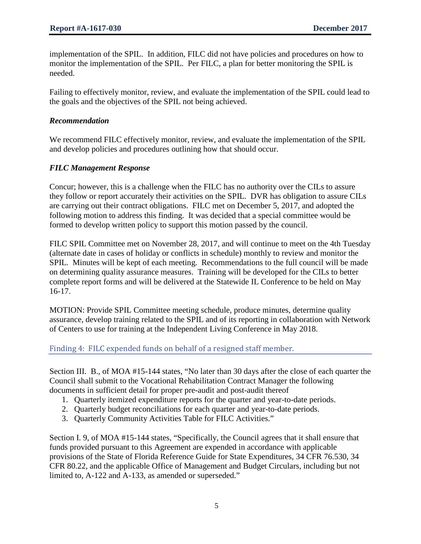implementation of the SPIL. In addition, FILC did not have policies and procedures on how to monitor the implementation of the SPIL. Per FILC, a plan for better monitoring the SPIL is needed.

Failing to effectively monitor, review, and evaluate the implementation of the SPIL could lead to the goals and the objectives of the SPIL not being achieved.

#### *Recommendation*

We recommend FILC effectively monitor, review, and evaluate the implementation of the SPIL and develop policies and procedures outlining how that should occur.

#### *FILC Management Response*

Concur; however, this is a challenge when the FILC has no authority over the CILs to assure they follow or report accurately their activities on the SPIL. DVR has obligation to assure CILs are carrying out their contract obligations. FILC met on December 5, 2017, and adopted the following motion to address this finding. It was decided that a special committee would be formed to develop written policy to support this motion passed by the council.

FILC SPIL Committee met on November 28, 2017, and will continue to meet on the 4th Tuesday (alternate date in cases of holiday or conflicts in schedule) monthly to review and monitor the SPIL. Minutes will be kept of each meeting. Recommendations to the full council will be made on determining quality assurance measures. Training will be developed for the CILs to better complete report forms and will be delivered at the Statewide IL Conference to be held on May 16-17.

MOTION: Provide SPIL Committee meeting schedule, produce minutes, determine quality assurance, develop training related to the SPIL and of its reporting in collaboration with Network of Centers to use for training at the Independent Living Conference in May 2018.

### Finding 4: FILC expended funds on behalf of a resigned staff member.

Section III. B., of MOA #15-144 states, "No later than 30 days after the close of each quarter the Council shall submit to the Vocational Rehabilitation Contract Manager the following documents in sufficient detail for proper pre-audit and post-audit thereof

- 1. Quarterly itemized expenditure reports for the quarter and year-to-date periods.
- 2. Quarterly budget reconciliations for each quarter and year-to-date periods.
- 3. Quarterly Community Activities Table for FILC Activities."

Section I. 9, of MOA #15-144 states, "Specifically, the Council agrees that it shall ensure that funds provided pursuant to this Agreement are expended in accordance with applicable provisions of the State of Florida Reference Guide for State Expenditures, 34 CFR 76.530, 34 CFR 80.22, and the applicable Office of Management and Budget Circulars, including but not limited to, A-122 and A-133, as amended or superseded."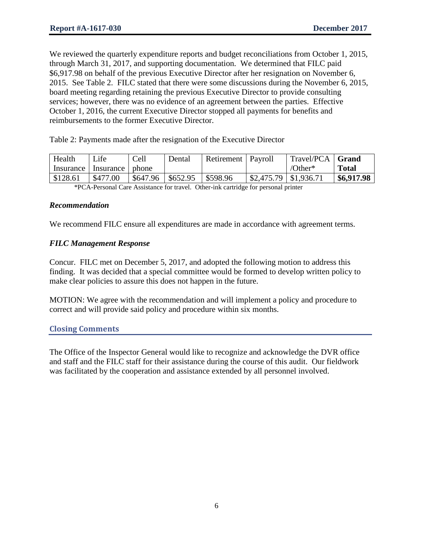We reviewed the quarterly expenditure reports and budget reconciliations from October 1, 2015, through March 31, 2017, and supporting documentation. We determined that FILC paid \$6,917.98 on behalf of the previous Executive Director after her resignation on November 6, 2015. See Table 2. FILC stated that there were some discussions during the November 6, 2015, board meeting regarding retaining the previous Executive Director to provide consulting services; however, there was no evidence of an agreement between the parties. Effective October 1, 2016, the current Executive Director stopped all payments for benefits and reimbursements to the former Executive Director.

Table 2: Payments made after the resignation of the Executive Director

| Health      | Life              | Cell     | Dental   | Retirement   Payroll |                                       | Travel/PCA   Grand |              |
|-------------|-------------------|----------|----------|----------------------|---------------------------------------|--------------------|--------------|
| Insurance I | Insurance   phone |          |          |                      |                                       | /Other*            | <b>Total</b> |
| \$128.61    | \$477.00          | \$647.96 | \$652.95 | \$598.96             | $\frac{1}{2}$ \$2,475.79   \$1,936.71 |                    | \$6,917.98   |

\*PCA-Personal Care Assistance for travel. Other-ink cartridge for personal printer

#### *Recommendation*

We recommend FILC ensure all expenditures are made in accordance with agreement terms.

### *FILC Management Response*

Concur. FILC met on December 5, 2017, and adopted the following motion to address this finding. It was decided that a special committee would be formed to develop written policy to make clear policies to assure this does not happen in the future.

MOTION: We agree with the recommendation and will implement a policy and procedure to correct and will provide said policy and procedure within six months.

### **Closing Comments**

The Office of the Inspector General would like to recognize and acknowledge the DVR office and staff and the FILC staff for their assistance during the course of this audit. Our fieldwork was facilitated by the cooperation and assistance extended by all personnel involved.